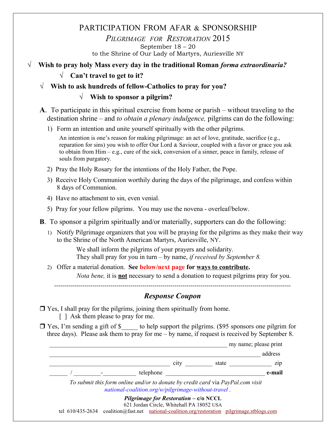# PARTICIPATION FROM AFAR & SPONSORSHIP

*PILGRIMAGE FOR RESTORATION* 2015 September 18 – 20

to the Shrine of Our Lady of Martyrs, Auriesville NY

- **√ Wish to pray holy Mass every day in the traditional Roman** *forma extraordinaria?*
	- **√ Can't travel to get to it?**
	- **√ Wish to ask hundreds of fellow-Catholics to pray for you?**

## **√ Wish to sponsor a pilgrim?**

- **A**. To participate in this spiritual exercise from home or parish without traveling to the destination shrine – and *to obtain a plenary indulgence,* pilgrims can do the following:
	- 1) Form an intention and unite yourself spiritually with the other pilgrims.

An intention is one's reason for making pilgrimage: an act of love, gratitude, sacrifice (e.g., reparation for sins) you wish to offer Our Lord  $\&$  Saviour, coupled with a favor or grace you ask to obtain from Him – e.g., cure of the sick, conversion of a sinner, peace in family, release of souls from purgatory.

- 2) Pray the Holy Rosary for the intentions of the Holy Father, the Pope.
- 3) Receive Holy Communion worthily during the days of the pilgrimage, and confess within 8 days of Communion.
- 4) Have no attachment to sin, even venial.
- 5) Pray for your fellow pilgrims. You may use the novena overleaf/below.
- **B**. To sponsor a pilgrim spiritually and/or materially, supporters can do the following:
	- 1) Notify Pilgrimage organizers that you will be praying for the pilgrims as they make their way to the Shrine of the North American Martyrs, Auriesville, NY.

We shall inform the pilgrims of your prayers and solidarity. They shall pray for you in turn – by name, *if received by September 8.*

2) Offer a material donation. **See below/next page for ways to contribute.** *Nota bene,* it is **not** necessary to send a donation to request pilgrims pray for you.

----------------------------------------------------------------------------------------------------------------------

## *Response Coupon*

 $\Box$  Yes, I shall pray for the pilgrims, joining them spiritually from home. [ ] Ask them please to pray for me.

 Yes, I'm sending a gift of \$\_\_\_\_\_ to help support the pilgrims. (\$95 sponsors one pilgrim for three days). Please ask them to pray for me – by name, if request is received by September 8.

\_\_\_\_\_\_\_\_\_\_\_\_\_\_\_\_\_\_\_\_\_\_\_\_\_\_\_\_\_\_\_\_\_\_\_\_\_\_\_\_\_\_\_\_\_\_\_\_\_\_\_\_\_\_\_\_\_\_\_ my name; please print \_\_\_\_\_\_\_\_\_\_\_\_\_\_\_\_\_\_\_\_\_\_\_\_\_\_\_\_\_\_\_\_\_\_\_\_\_\_\_\_\_\_\_\_\_\_\_\_\_\_\_\_\_\_\_\_\_\_\_\_\_\_\_\_\_\_\_\_\_\_ address eity betate the state and  $\frac{1}{2}$  is  $\frac{1}{2}$  in  $\frac{1}{2}$  in  $\frac{1}{2}$  in  $\frac{1}{2}$  in  $\frac{1}{2}$  in  $\frac{1}{2}$  in  $\frac{1}{2}$  in  $\frac{1}{2}$  in  $\frac{1}{2}$  in  $\frac{1}{2}$  in  $\frac{1}{2}$  in  $\frac{1}{2}$  in  $\frac{1}{2}$  in  $\frac{1}{2}$  in \_\_\_\_\_\_ / \_\_\_\_\_\_\_\_\_-\_\_\_\_\_\_\_\_\_\_\_ telephone \_\_\_\_\_\_\_\_\_\_\_\_\_\_\_\_\_\_\_\_\_\_\_\_\_\_\_\_\_\_\_\_\_ **e-mail** *To submit this form online and/or to donate by credit card* via *PayPal.com visit [national-coalition.org/w/pilgrimage-without-travel](http://national-coalition.org/w/pilgrimage-without-travel/)* . *Pilgrimage for Restoration* **– c/o NCCL** 621 Jordan Circle, Whitehall PA 18052 USA tel 610/435-2634 coalition@fast.net [national-coalition.org/restoration](http://www.national-coalition.org/restoration) [pilgrimage.stblogs.com](http://pilgrimage.stblogs.com/)